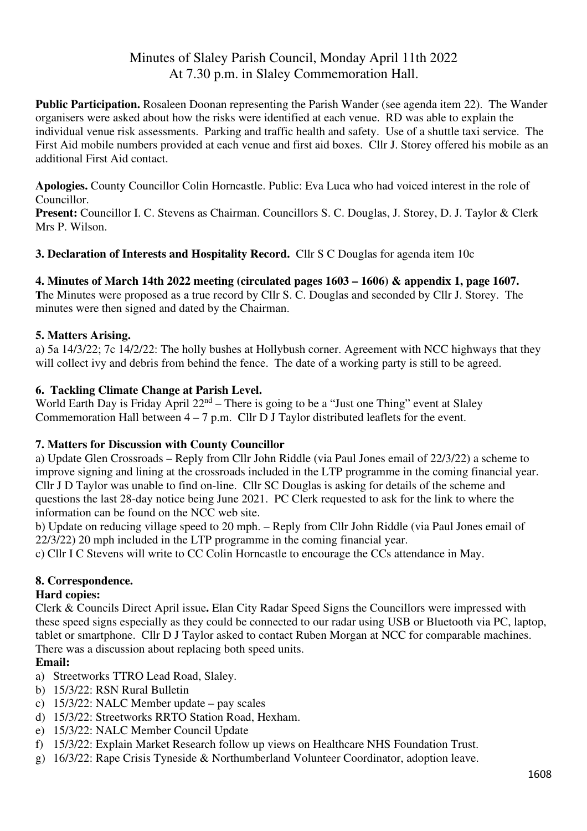# Minutes of Slaley Parish Council, Monday April 11th 2022 At 7.30 p.m. in Slaley Commemoration Hall.

**Public Participation.** Rosaleen Doonan representing the Parish Wander (see agenda item 22). The Wander organisers were asked about how the risks were identified at each venue. RD was able to explain the individual venue risk assessments. Parking and traffic health and safety. Use of a shuttle taxi service. The First Aid mobile numbers provided at each venue and first aid boxes. Cllr J. Storey offered his mobile as an additional First Aid contact.

**Apologies.** County Councillor Colin Horncastle. Public: Eva Luca who had voiced interest in the role of Councillor.

**Present:** Councillor I. C. Stevens as Chairman. Councillors S. C. Douglas, J. Storey, D. J. Taylor & Clerk Mrs P. Wilson.

**3. Declaration of Interests and Hospitality Record.** Cllr S C Douglas for agenda item 10c

#### **4. Minutes of March 14th 2022 meeting (circulated pages 1603 – 1606) & appendix 1, page 1607.**

**T**he Minutes were proposed as a true record by Cllr S. C. Douglas and seconded by Cllr J. Storey. The minutes were then signed and dated by the Chairman.

#### **5. Matters Arising.**

a) 5a 14/3/22; 7c 14/2/22: The holly bushes at Hollybush corner. Agreement with NCC highways that they will collect ivy and debris from behind the fence. The date of a working party is still to be agreed.

#### **6. Tackling Climate Change at Parish Level.**

World Earth Day is Friday April  $22<sup>nd</sup>$  – There is going to be a "Just one Thing" event at Slaley Commemoration Hall between  $4 - 7$  p.m. Cllr D J Taylor distributed leaflets for the event.

#### **7. Matters for Discussion with County Councillor**

a) Update Glen Crossroads – Reply from Cllr John Riddle (via Paul Jones email of 22/3/22) a scheme to improve signing and lining at the crossroads included in the LTP programme in the coming financial year. Cllr J D Taylor was unable to find on-line. Cllr SC Douglas is asking for details of the scheme and questions the last 28-day notice being June 2021. PC Clerk requested to ask for the link to where the information can be found on the NCC web site.

b) Update on reducing village speed to 20 mph. – Reply from Cllr John Riddle (via Paul Jones email of 22/3/22) 20 mph included in the LTP programme in the coming financial year.

c) Cllr I C Stevens will write to CC Colin Horncastle to encourage the CCs attendance in May.

#### **8. Correspondence.**

#### **Hard copies:**

Clerk & Councils Direct April issue**.** Elan City Radar Speed Signs the Councillors were impressed with these speed signs especially as they could be connected to our radar using USB or Bluetooth via PC, laptop, tablet or smartphone. Cllr D J Taylor asked to contact Ruben Morgan at NCC for comparable machines. There was a discussion about replacing both speed units.

#### **Email:**

- a) Streetworks TTRO Lead Road, Slaley.
- b) 15/3/22: RSN Rural Bulletin
- c) 15/3/22: NALC Member update pay scales
- d) 15/3/22: Streetworks RRTO Station Road, Hexham.
- e) 15/3/22: NALC Member Council Update
- f) 15/3/22: Explain Market Research follow up views on Healthcare NHS Foundation Trust.
- g) 16/3/22: Rape Crisis Tyneside & Northumberland Volunteer Coordinator, adoption leave.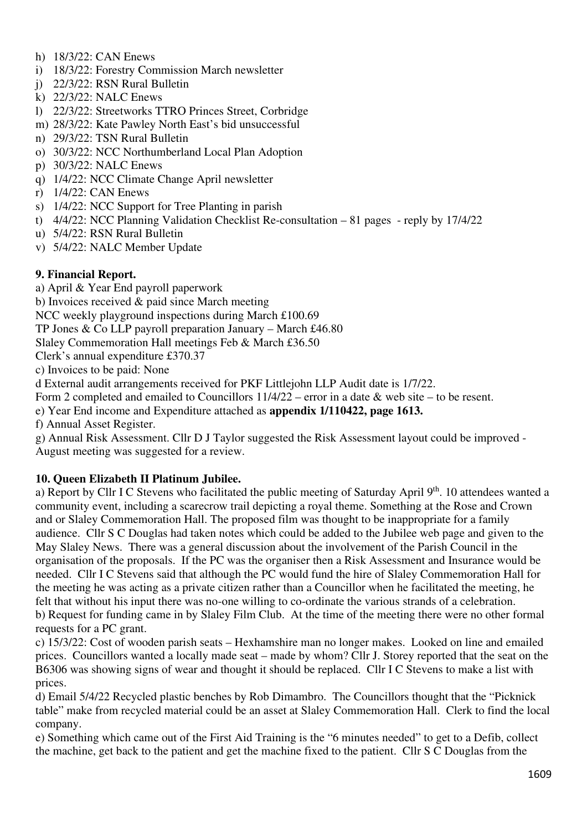- h) 18/3/22: CAN Enews
- i) 18/3/22: Forestry Commission March newsletter
- j) 22/3/22: RSN Rural Bulletin
- k) 22/3/22: NALC Enews
- l) 22/3/22: Streetworks TTRO Princes Street, Corbridge
- m) 28/3/22: Kate Pawley North East's bid unsuccessful
- n) 29/3/22: TSN Rural Bulletin
- o) 30/3/22: NCC Northumberland Local Plan Adoption
- p) 30/3/22: NALC Enews
- q) 1/4/22: NCC Climate Change April newsletter
- r) 1/4/22: CAN Enews
- s) 1/4/22: NCC Support for Tree Planting in parish
- t) 4/4/22: NCC Planning Validation Checklist Re-consultation 81 pages reply by 17/4/22
- u) 5/4/22: RSN Rural Bulletin
- v) 5/4/22: NALC Member Update

#### **9. Financial Report.**

a) April & Year End payroll paperwork

b) Invoices received & paid since March meeting

NCC weekly playground inspections during March £100.69

TP Jones & Co LLP payroll preparation January – March £46.80

Slaley Commemoration Hall meetings Feb & March £36.50

Clerk's annual expenditure £370.37

c) Invoices to be paid: None

d External audit arrangements received for PKF Littlejohn LLP Audit date is 1/7/22.

Form 2 completed and emailed to Councillors 11/4/22 – error in a date & web site – to be resent.

e) Year End income and Expenditure attached as **appendix 1/110422, page 1613.** 

f) Annual Asset Register.

g) Annual Risk Assessment. Cllr D J Taylor suggested the Risk Assessment layout could be improved - August meeting was suggested for a review.

#### **10. Queen Elizabeth II Platinum Jubilee.**

a) Report by Cllr I C Stevens who facilitated the public meeting of Saturday April 9th. 10 attendees wanted a community event, including a scarecrow trail depicting a royal theme. Something at the Rose and Crown and or Slaley Commemoration Hall. The proposed film was thought to be inappropriate for a family audience. Cllr S C Douglas had taken notes which could be added to the Jubilee web page and given to the May Slaley News. There was a general discussion about the involvement of the Parish Council in the organisation of the proposals. If the PC was the organiser then a Risk Assessment and Insurance would be needed. Cllr I C Stevens said that although the PC would fund the hire of Slaley Commemoration Hall for the meeting he was acting as a private citizen rather than a Councillor when he facilitated the meeting, he felt that without his input there was no-one willing to co-ordinate the various strands of a celebration. b) Request for funding came in by Slaley Film Club. At the time of the meeting there were no other formal requests for a PC grant.

c) 15/3/22: Cost of wooden parish seats – Hexhamshire man no longer makes. Looked on line and emailed prices. Councillors wanted a locally made seat – made by whom? Cllr J. Storey reported that the seat on the B6306 was showing signs of wear and thought it should be replaced. Cllr I C Stevens to make a list with prices.

d) Email 5/4/22 Recycled plastic benches by Rob Dimambro. The Councillors thought that the "Picknick table" make from recycled material could be an asset at Slaley Commemoration Hall. Clerk to find the local company.

e) Something which came out of the First Aid Training is the "6 minutes needed" to get to a Defib, collect the machine, get back to the patient and get the machine fixed to the patient. Cllr S C Douglas from the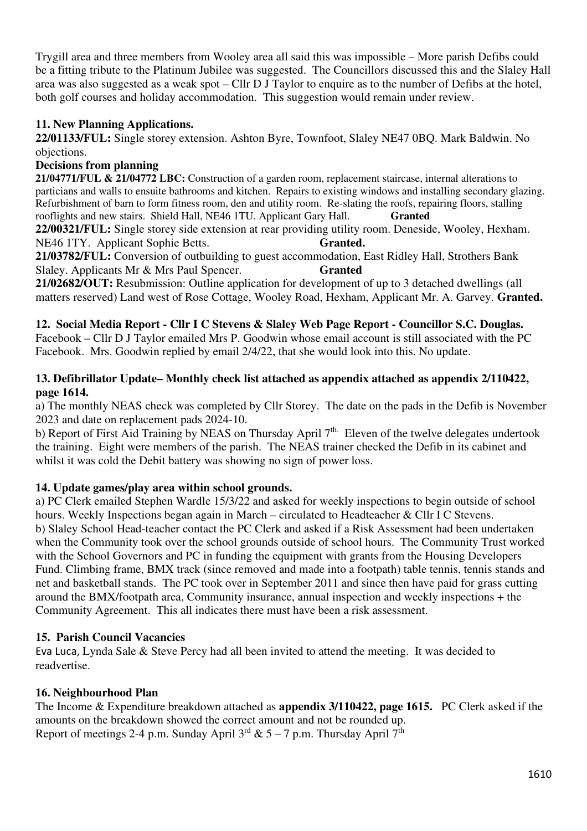Trygill area and three members from Wooley area all said this was impossible – More parish Defibs could be a fitting tribute to the Platinum Jubilee was suggested. The Councillors discussed this and the Slaley Hall area was also suggested as a weak spot – Cllr D J Taylor to enquire as to the number of Defibs at the hotel, both golf courses and holiday accommodation. This suggestion would remain under review.

### **11. New Planning Applications.**

**22/01133/FUL:** Single storey extension. Ashton Byre, Townfoot, Slaley NE47 0BQ. Mark Baldwin. No objections.

#### **Decisions from planning**

**21/04771/FUL & 21/04772 LBC:** Construction of a garden room, replacement staircase, internal alterations to particians and walls to ensuite bathrooms and kitchen. Repairs to existing windows and installing secondary glazing. Refurbishment of barn to form fitness room, den and utility room. Re-slating the roofs, repairing floors, stalling rooflights and new stairs. Shield Hall, NE46 1TU. Applicant Gary Hall. **Granted** 

**22/00321/FUL:** Single storey side extension at rear providing utility room. Deneside, Wooley, Hexham. NE46 1TY. Applicant Sophie Betts. **Granted.**

**21/03782/FUL:** Conversion of outbuilding to guest accommodation, East Ridley Hall, Strothers Bank Slaley. Applicants Mr & Mrs Paul Spencer. **Granted** 

**21/02682/OUT:** Resubmission: Outline application for development of up to 3 detached dwellings (all matters reserved) Land west of Rose Cottage, Wooley Road, Hexham, Applicant Mr. A. Garvey. **Granted.** 

#### **12. Social Media Report - Cllr I C Stevens & Slaley Web Page Report - Councillor S.C. Douglas.**

Facebook – Cllr D J Taylor emailed Mrs P. Goodwin whose email account is still associated with the PC Facebook. Mrs. Goodwin replied by email 2/4/22, that she would look into this. No update.

#### **13. Defibrillator Update– Monthly check list attached as appendix attached as appendix 2/110422, page 1614.**

a) The monthly NEAS check was completed by Cllr Storey. The date on the pads in the Defib is November 2023 and date on replacement pads 2024-10.

b) Report of First Aid Training by NEAS on Thursday April 7<sup>th.</sup> Eleven of the twelve delegates undertook the training. Eight were members of the parish. The NEAS trainer checked the Defib in its cabinet and whilst it was cold the Debit battery was showing no sign of power loss.

#### **14. Update games/play area within school grounds.**

a) PC Clerk emailed Stephen Wardle 15/3/22 and asked for weekly inspections to begin outside of school hours. Weekly Inspections began again in March – circulated to Headteacher & Cllr I C Stevens. b) Slaley School Head-teacher contact the PC Clerk and asked if a Risk Assessment had been undertaken when the Community took over the school grounds outside of school hours. The Community Trust worked with the School Governors and PC in funding the equipment with grants from the Housing Developers Fund. Climbing frame, BMX track (since removed and made into a footpath) table tennis, tennis stands and net and basketball stands. The PC took over in September 2011 and since then have paid for grass cutting around the BMX/footpath area, Community insurance, annual inspection and weekly inspections + the Community Agreement. This all indicates there must have been a risk assessment.

#### **15. Parish Council Vacancies**

Eva Luca, Lynda Sale & Steve Percy had all been invited to attend the meeting. It was decided to readvertise.

#### **16. Neighbourhood Plan**

The Income & Expenditure breakdown attached as **appendix 3/110422, page 1615.** PC Clerk asked if the amounts on the breakdown showed the correct amount and not be rounded up. Report of meetings 2-4 p.m. Sunday April  $3^{rd}$  & 5 – 7 p.m. Thursday April  $7^{th}$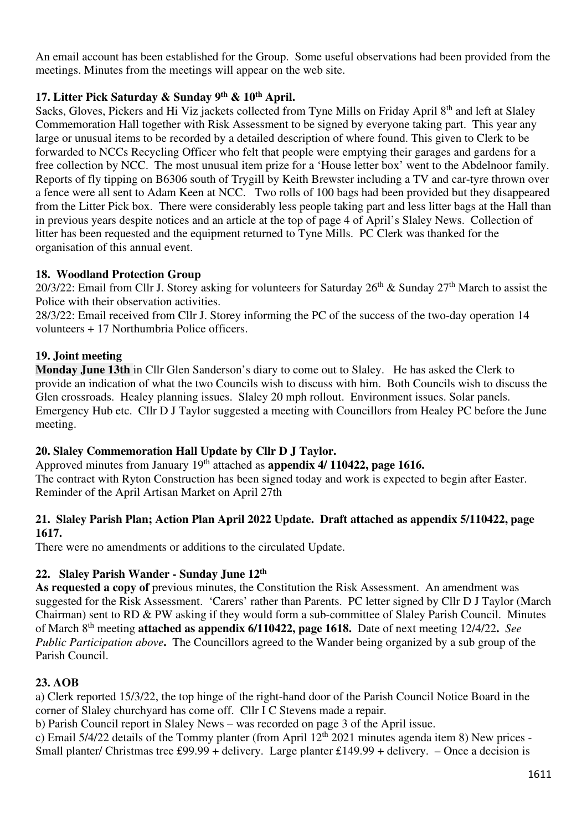An email account has been established for the Group. Some useful observations had been provided from the meetings. Minutes from the meetings will appear on the web site.

### **17. Litter Pick Saturday & Sunday 9th & 10th April.**

Sacks, Gloves, Pickers and Hi Viz jackets collected from Tyne Mills on Friday April 8<sup>th</sup> and left at Slaley Commemoration Hall together with Risk Assessment to be signed by everyone taking part. This year any large or unusual items to be recorded by a detailed description of where found. This given to Clerk to be forwarded to NCCs Recycling Officer who felt that people were emptying their garages and gardens for a free collection by NCC. The most unusual item prize for a 'House letter box' went to the Abdelnoor family. Reports of fly tipping on B6306 south of Trygill by Keith Brewster including a TV and car-tyre thrown over a fence were all sent to Adam Keen at NCC. Two rolls of 100 bags had been provided but they disappeared from the Litter Pick box. There were considerably less people taking part and less litter bags at the Hall than in previous years despite notices and an article at the top of page 4 of April's Slaley News. Collection of litter has been requested and the equipment returned to Tyne Mills. PC Clerk was thanked for the organisation of this annual event.

### **18. Woodland Protection Group**

20/3/22: Email from Cllr J. Storey asking for volunteers for Saturday  $26^{th}$  & Sunday  $27^{th}$  March to assist the Police with their observation activities.

28/3/22: Email received from Cllr J. Storey informing the PC of the success of the two-day operation 14 volunteers + 17 Northumbria Police officers.

### **19. Joint meeting**

**Monday June 13th** in Cllr Glen Sanderson's diary to come out to Slaley. He has asked the Clerk to provide an indication of what the two Councils wish to discuss with him. Both Councils wish to discuss the Glen crossroads. Healey planning issues. Slaley 20 mph rollout. Environment issues. Solar panels. Emergency Hub etc. Cllr D J Taylor suggested a meeting with Councillors from Healey PC before the June meeting.

# **20. Slaley Commemoration Hall Update by Cllr D J Taylor.**

Approved minutes from January 19<sup>th</sup> attached as **appendix 4/ 110422, page 1616.** The contract with Ryton Construction has been signed today and work is expected to begin after Easter. Reminder of the April Artisan Market on April 27th

#### **21. Slaley Parish Plan; Action Plan April 2022 Update. Draft attached as appendix 5/110422, page 1617.**

There were no amendments or additions to the circulated Update.

# **22. Slaley Parish Wander - Sunday June 12th**

**As requested a copy of** previous minutes, the Constitution the Risk Assessment. An amendment was suggested for the Risk Assessment. 'Carers' rather than Parents. PC letter signed by Cllr D J Taylor (March Chairman) sent to RD & PW asking if they would form a sub-committee of Slaley Parish Council. Minutes of March 8th meeting **attached as appendix 6/110422, page 1618.** Date of next meeting 12/4/22**.** *See Public Participation above***.** The Councillors agreed to the Wander being organized by a sub group of the Parish Council.

# **23. AOB**

a) Clerk reported 15/3/22, the top hinge of the right-hand door of the Parish Council Notice Board in the corner of Slaley churchyard has come off. Cllr I C Stevens made a repair.

b) Parish Council report in Slaley News – was recorded on page 3 of the April issue.

c) Email 5/4/22 details of the Tommy planter (from April  $12<sup>th</sup>$  2021 minutes agenda item 8) New prices -Small planter/ Christmas tree £99.99 + delivery. Large planter £149.99 + delivery. – Once a decision is